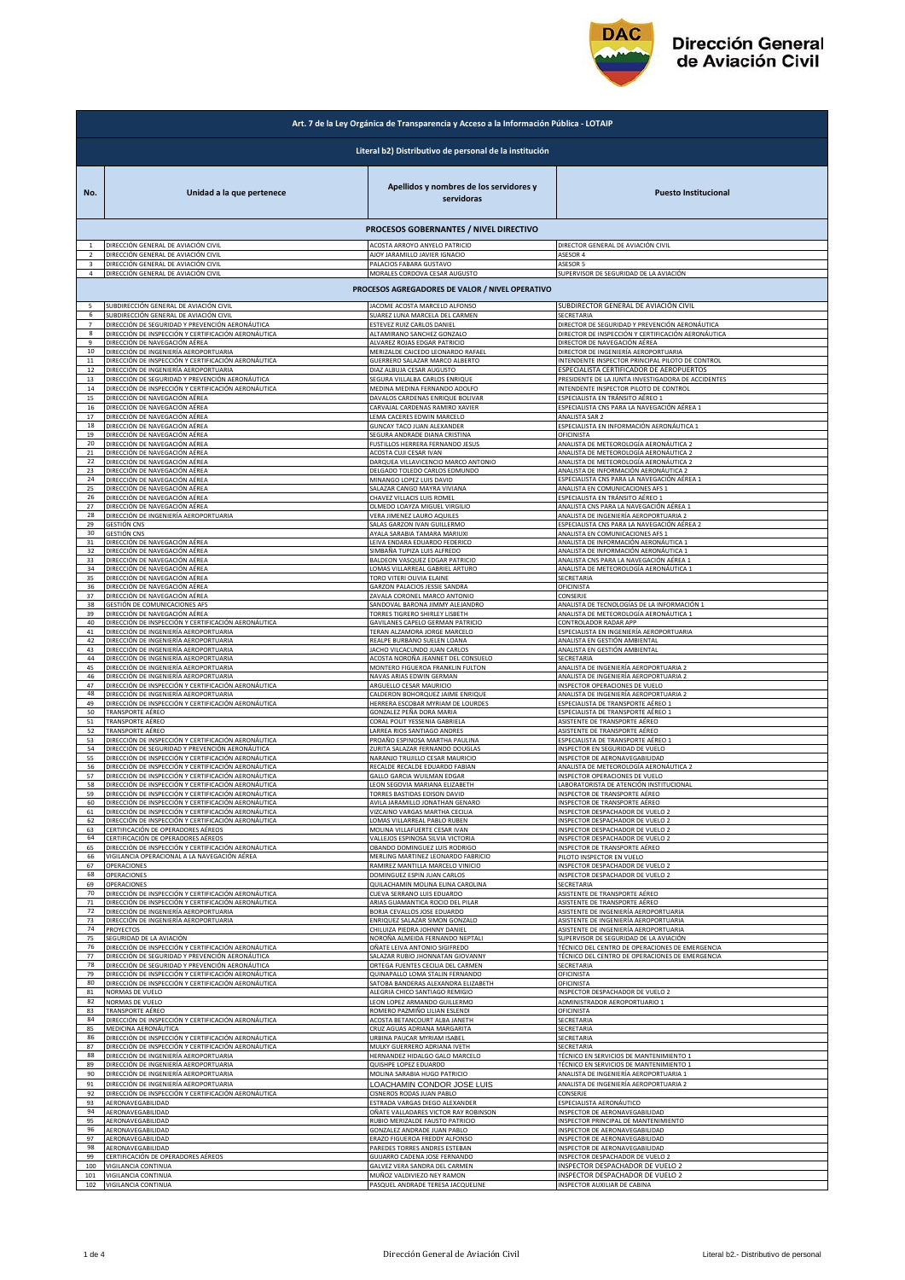

| Art. 7 de la Ley Orgánica de Transparencia y Acceso a la Información Pública - LOTAIP |                                                                                                                                       |                                                                 |                                                                                                |  |  |  |
|---------------------------------------------------------------------------------------|---------------------------------------------------------------------------------------------------------------------------------------|-----------------------------------------------------------------|------------------------------------------------------------------------------------------------|--|--|--|
| Literal b2) Distributivo de personal de la institución                                |                                                                                                                                       |                                                                 |                                                                                                |  |  |  |
| No.                                                                                   | Unidad a la que pertenece                                                                                                             | Apellidos y nombres de los servidores y<br>servidoras           | <b>Puesto Institucional</b>                                                                    |  |  |  |
|                                                                                       |                                                                                                                                       | PROCESOS GOBERNANTES / NIVEL DIRECTIVO                          |                                                                                                |  |  |  |
| $\overline{2}$                                                                        | DIRECCIÓN GENERAL DE AVIACIÓN CIVIL                                                                                                   | ACOSTA ARROYO ANYELO PATRICIO                                   | DIRECTOR GENERAL DE AVIACIÓN CIVIL                                                             |  |  |  |
|                                                                                       | DIRECCIÓN GENERAL DE AVIACIÓN CIVIL                                                                                                   | AJOY JARAMILLO JAVIER IGNACIO                                   | <b>ASESOR 4</b>                                                                                |  |  |  |
| 3                                                                                     | DIRECCIÓN GENERAL DE AVIACIÓN CIVIL                                                                                                   | PALACIOS FABARA GUSTAVO                                         | ASESOR 5                                                                                       |  |  |  |
| 4                                                                                     | DIRECCIÓN GENERAL DE AVIACIÓN CIVIL                                                                                                   | MORALES CORDOVA CESAR AUGUSTO                                   | SUPERVISOR DE SEGURIDAD DE LA AVIACIÓN                                                         |  |  |  |
|                                                                                       |                                                                                                                                       | PROCESOS AGREGADORES DE VALOR / NIVEL OPERATIVO                 |                                                                                                |  |  |  |
| 5                                                                                     | SUBDIRECCIÓN GENERAL DE AVIACIÓN CIVIL                                                                                                | JACOME ACOSTA MARCELO ALFONSO                                   | SUBDIRECTOR GENERAL DE AVIACIÓN CIVIL                                                          |  |  |  |
| 6                                                                                     | SUBDIRECCIÓN GENERAL DE AVIACIÓN CIVIL                                                                                                | SUAREZ LUNA MARCELA DEL CARMEN                                  | SECRETARIA                                                                                     |  |  |  |
| $\overline{7}$                                                                        | DIRECCIÓN DE SEGURIDAD Y PREVENCIÓN AERONÁUTICA                                                                                       | ESTEVEZ RUIZ CARLOS DANIEL                                      | DIRECTOR DE SEGURIDAD Y PREVENCIÓN AERONÁUTICA                                                 |  |  |  |
| 8                                                                                     | DIRECCIÓN DE INSPECCIÓN Y CERTIFICACIÓN AERONÁUTICA                                                                                   | ALTAMIRANO SANCHEZ GONZALO                                      | DIRECTOR DE INSPECCIÓN Y CERTIFICACIÓN AERONÁUTICA                                             |  |  |  |
| 9                                                                                     | DIRECCIÓN DE NAVEGACIÓN AÉREA                                                                                                         | ALVAREZ ROJAS EDGAR PATRICIO                                    | DIRECTOR DE NAVEGACIÓN AÉREA                                                                   |  |  |  |
| 10                                                                                    | DIRECCIÓN DE INGENIERÍA AEROPORTUARIA                                                                                                 | MERIZALDE CAICEDO LEONARDO RAFAEL                               | DIRECTOR DE INGENIERÍA AEROPORTUARIA                                                           |  |  |  |
| $11\,$                                                                                | DIRECCIÓN DE INSPECCIÓN Y CERTIFICACIÓN AERONÁUTICA                                                                                   | GUERRERO SALAZAR MARCO ALBERTO                                  | INTENDENTE INSPECTOR PRINCIPAL PILOTO DE CONTROL                                               |  |  |  |
| 12                                                                                    | DIRECCIÓN DE INGENIERÍA AEROPORTUARIA                                                                                                 | DIAZ ALBUJA CESAR AUGUSTO                                       | ESPECIALISTA CERTIFICADOR DE AEROPUERTOS<br>PRESIDENTE DE LA JUNTA INVESTIGADORA DE ACCIDENTES |  |  |  |
| 13                                                                                    | DIRECCIÓN DE SEGURIDAD Y PREVENCIÓN AERONÁUTICA                                                                                       | SEGURA VILLALBA CARLOS ENRIQUE                                  | INTENDENTE INSPECTOR PILOTO DE CONTROL                                                         |  |  |  |
| 14                                                                                    | DIRECCIÓN DE INSPECCIÓN Y CERTIFICACIÓN AERONÁUTICA                                                                                   | MEDINA MEDINA FERNANDO ADOLFO                                   |                                                                                                |  |  |  |
| 15                                                                                    | DIRECCIÓN DE NAVEGACIÓN AÉREA                                                                                                         | DAVALOS CARDENAS ENRIQUE BOLIVAR                                | ESPECIALISTA EN TRÁNSITO AÉREO 1                                                               |  |  |  |
| 16                                                                                    | DIRECCIÓN DE NAVEGACIÓN AÉREA                                                                                                         | CARVAJAL CARDENAS RAMIRO XAVIER                                 | ESPECIALISTA CNS PARA LA NAVEGACIÓN AÉREA 1                                                    |  |  |  |
| 17                                                                                    | DIRECCIÓN DE NAVEGACIÓN AÉREA                                                                                                         | LEMA CACERES EDWIN MARCELO                                      | <b>ANALISTA SAR 2</b>                                                                          |  |  |  |
| 18                                                                                    | DIRECCIÓN DE NAVEGACIÓN AÉREA                                                                                                         | GUNCAY TACO JUAN ALEXANDER                                      | ESPECIALISTA EN INFORMACIÓN AERONÁUTICA 1                                                      |  |  |  |
| 19                                                                                    | DIRECCIÓN DE NAVEGACIÓN AÉREA                                                                                                         | SEGURA ANDRADE DIANA CRISTINA                                   | OFICINISTA                                                                                     |  |  |  |
| 20                                                                                    | DIRECCIÓN DE NAVEGACIÓN AÉREA                                                                                                         | FUSTILLOS HERRERA FERNANDO JESUS                                | ANALISTA DE METEOROLOGÍA AERONÁUTICA 2                                                         |  |  |  |
| 21                                                                                    | DIRECCIÓN DE NAVEGACIÓN AÉREA                                                                                                         | ACOSTA CUJI CESAR IVAN                                          | ANALISTA DE METEOROLOGÍA AERONÁUTICA 2                                                         |  |  |  |
| 22                                                                                    | DIRECCIÓN DE NAVEGACIÓN AÉREA                                                                                                         | DARQUEA VILLAVICENCIO MARCO ANTONIO                             | ANALISTA DE METEOROLOGÍA AERONÁUTICA 2                                                         |  |  |  |
| 23                                                                                    | DIRECCIÓN DE NAVEGACIÓN AÉREA                                                                                                         | DELGADO TOLEDO CARLOS EDMUNDO                                   | ANALISTA DE INFORMACIÓN AERONÁUTICA 2                                                          |  |  |  |
| 24                                                                                    | DIRECCIÓN DE NAVEGACIÓN AÉREA                                                                                                         | MINANGO LOPEZ LUIS DAVID                                        | ESPECIALISTA CNS PARA LA NAVEGACIÓN AÉREA 1                                                    |  |  |  |
| 25                                                                                    | DIRECCIÓN DE NAVEGACIÓN AÉREA                                                                                                         | SALAZAR CANGO MAYRA VIVIANA                                     | ANALISTA EN COMUNICACIONES AFS 1                                                               |  |  |  |
| 26                                                                                    | DIRECCIÓN DE NAVEGACIÓN AÉREA                                                                                                         | CHAVEZ VILLACIS LUIS ROMEL                                      | ESPECIALISTA EN TRÁNSITO AÉREO 1                                                               |  |  |  |
| 27                                                                                    | DIRECCIÓN DE NAVEGACIÓN AÉREA                                                                                                         | OLMEDO LOAYZA MIGUEL VIRGILIO                                   | ANALISTA CNS PARA LA NAVEGACIÓN AÉREA 1                                                        |  |  |  |
| 28                                                                                    | DIRECCIÓN DE INGENIERÍA AEROPORTUARIA                                                                                                 | <b>VERA JIMENEZ LAURO AQUILES</b>                               | ANALISTA DE INGENIERÍA AEROPORTUARIA 2                                                         |  |  |  |
| 29                                                                                    | <b>GESTIÓN CNS</b>                                                                                                                    | SALAS GARZON IVAN GUILLERMO                                     | ESPECIALISTA CNS PARA LA NAVEGACIÓN AÉREA 2                                                    |  |  |  |
| 30                                                                                    | <b>GESTIÓN CNS</b>                                                                                                                    | AYALA SARABIA TAMARA MARIUXI                                    | ANALISTA EN COMUNICACIONES AFS 1                                                               |  |  |  |
| 31                                                                                    | DIRECCIÓN DE NAVEGACIÓN AÉREA                                                                                                         | LEIVA ENDARA EDUARDO FEDERICO                                   | <u>ANALISTA DE INFORMACIÓN AERONÁUTICA 1</u>                                                   |  |  |  |
| 32                                                                                    | DIRECCIÓN DE NAVEGACIÓN AÉREA                                                                                                         | SIMBAÑA TUPIZA LUIS ALFREDO                                     | ANALISTA DE INFORMACIÓN AERONÁUTICA 1                                                          |  |  |  |
| 33<br>34                                                                              | DIRECCIÓN DE NAVEGACIÓN AÉREA                                                                                                         | BALDEON VASQUEZ EDGAR PATRICIO                                  | ANALISTA CNS PARA LA NAVEGACIÓN AÉREA 1                                                        |  |  |  |
| 35                                                                                    | DIRECCIÓN DE NAVEGACIÓN AÉREA                                                                                                         | LOMAS VILLARREAL GABRIEL ARTURO                                 | ANALISTA DE METEOROLOGÍA AERONÁUTICA 1                                                         |  |  |  |
| 36                                                                                    | DIRECCIÓN DE NAVEGACIÓN AÉREA                                                                                                         | TORO VITERI OLIVIA ELAINE                                       | SECRETARIA                                                                                     |  |  |  |
| 37                                                                                    | DIRECCIÓN DE NAVEGACIÓN AÉREA                                                                                                         | GARZON PALACIOS JESSIE SANDRA                                   | OFICINISTA                                                                                     |  |  |  |
|                                                                                       | DIRECCIÓN DE NAVEGACIÓN AÉREA                                                                                                         | ZAVALA CORONEL MARCO ANTONIO                                    | CONSERJE                                                                                       |  |  |  |
| 38                                                                                    | GESTIÓN DE COMUNICACIONES AFS                                                                                                         | SANDOVAL BARONA JIMMY ALEJANDRO                                 | ANALISTA DE TECNOLOGÍAS DE LA INFORMACIÓN 1                                                    |  |  |  |
| 39                                                                                    | DIRECCIÓN DE NAVEGACIÓN AÉREA                                                                                                         | TORRES TIGRERO SHIRLEY LISBETH                                  | ANALISTA DE METEOROLOGÍA AERONÁUTICA 1                                                         |  |  |  |
| 40                                                                                    | DIRECCIÓN DE INSPECCIÓN Y CERTIFICACIÓN AERONÁUTICA                                                                                   | GAVILANES CAPELO GERMAN PATRICIO                                | CONTROLADOR RADAR APP                                                                          |  |  |  |
| 41                                                                                    | DIRECCIÓN DE INGENIERÍA AEROPORTUARIA                                                                                                 | TERAN ALZAMORA JORGE MARCELO                                    | SPECIALISTA EN INGENIERÍA AEROPORTUARIA                                                        |  |  |  |
| 42                                                                                    | DIRECCIÓN DE INGENIERÍA AEROPORTUARIA                                                                                                 | REALPE BURBANO SUELEN LOANA                                     | ANALISTA EN GESTIÓN AMBIENTAL                                                                  |  |  |  |
| 43                                                                                    | DIRECCIÓN DE INGENIERÍA AEROPORTUARIA                                                                                                 | JACHO VILCACUNDO JUAN CARLOS                                    | ANALISTA EN GESTIÓN AMBIENTAL                                                                  |  |  |  |
| 44                                                                                    | DIRECCIÓN DE INGENIERÍA AEROPORTUARIA                                                                                                 | ACOSTA NOROÑA JEANNET DEL CONSUELO                              | SECRETARIA                                                                                     |  |  |  |
| 45                                                                                    | DIRECCIÓN DE INGENIERÍA AEROPORTUARIA                                                                                                 | MONTERO FIGUEROA FRANKLIN FULTON                                | ANALISTA DE INGENIERÍA AEROPORTUARIA 2                                                         |  |  |  |
| 46                                                                                    | DIRECCIÓN DE INGENIERÍA AEROPORTUARIA                                                                                                 | NAVAS ARIAS EDWIN GERMAN                                        | ANALISTA DE INGENIERÍA AEROPORTUARIA 2                                                         |  |  |  |
| 47                                                                                    | DIRECCIÓN DE INSPECCIÓN Y CERTIFICACIÓN AERONÁUTICA                                                                                   | ARGUELLO CESAR MAURICIO                                         | INSPECTOR OPERACIONES DE VUELO                                                                 |  |  |  |
| 48                                                                                    | DIRECCIÓN DE INGENIERÍA AEROPORTUARIA                                                                                                 | CALDERON BOHORQUEZ JAIME ENRIQUE                                | ANALISTA DE INGENIERÍA AEROPORTUARIA 2                                                         |  |  |  |
| 49                                                                                    | DIRECCIÓN DE INSPECCIÓN Y CERTIFICACIÓN AERONÁUTICA                                                                                   | HERRERA ESCOBAR MYRIAM DE LOURDES                               | ESPECIALISTA DE TRANSPORTE AÉREO 1                                                             |  |  |  |
| 50                                                                                    | TRANSPORTE AÉREO                                                                                                                      | GONZALEZ PEÑA DORA MARIA                                        | ESPECIALISTA DE TRANSPORTE AÉREO 1                                                             |  |  |  |
| 51                                                                                    | TRANSPORTE AÉREO                                                                                                                      | CORAL POLIT YESSENIA GABRIELA                                   | ASISTENTE DE TRANSPORTE AÉREO                                                                  |  |  |  |
| 52                                                                                    | TRANSPORTE AÉREO                                                                                                                      | LARREA RIOS SANTIAGO ANDRES                                     | ASISTENTE DE TRANSPORTE AÉREO                                                                  |  |  |  |
| 53                                                                                    | DIRECCIÓN DE INSPECCIÓN Y CERTIFICACIÓN AERONÁUTICA                                                                                   | PROAÑO ESPINOSA MARTHA PAULINA                                  | ESPECIALISTA DE TRANSPORTE AÉREO 1                                                             |  |  |  |
| 54                                                                                    | DIRECCIÓN DE SEGURIDAD Y PREVENCIÓN AERONÁUTICA                                                                                       | ZURITA SALAZAR FERNANDO DOUGLAS                                 | INSPECTOR EN SEGURIDAD DE VUELO                                                                |  |  |  |
| 55                                                                                    | DIRECCIÓN DE INSPECCIÓN Y CERTIFICACIÓN AERONÁUTICA                                                                                   | NARANJO TRUJILLO CESAR MAURICIO                                 | INSPECTOR DE AERONAVEGABILIDAD                                                                 |  |  |  |
| 56                                                                                    | DIRECCIÓN DE INSPECCIÓN Y CERTIFICACIÓN AERONÁUTICA                                                                                   | RECALDE RECALDE EDUARDO FABIAN                                  | ANALISTA DE METEOROLOGÍA AERONÁUTICA 2                                                         |  |  |  |
| 57                                                                                    | DIRECCIÓN DE INSPECCIÓN Y CERTIFICACIÓN AERONÁUTICA                                                                                   | GALLO GARCIA WUILMAN EDGAR                                      | INSPECTOR OPERACIONES DE VUELO                                                                 |  |  |  |
| 58                                                                                    | DIRECCIÓN DE INSPECCIÓN Y CERTIFICACIÓN AERONÁUTICA                                                                                   | LEON SEGOVIA MARIANA ELIZABETH                                  | LABORATORISTA DE ATENCIÓN INSTITUCIONAL                                                        |  |  |  |
|                                                                                       | DIRECCION DE INSPECCION Y CERTIFICACION AERONAUTICA                                                                                   | TORRES BASTIDAS EDISON DAVID                                    | INSPECTOR DE TRANSPORTE AEREC                                                                  |  |  |  |
| 60                                                                                    | DIRECCIÓN DE INSPECCIÓN Y CERTIFICACIÓN AERONÁUTICA                                                                                   | AVILA JARAMILLO JONATHAN GENARO                                 | INSPECTOR DE TRANSPORTE AÉREO                                                                  |  |  |  |
| 61                                                                                    | DIRECCIÓN DE INSPECCIÓN Y CERTIFICACIÓN AERONÁUTICA                                                                                   | VIZCAINO VARGAS MARTHA CECILIA                                  | NSPECTOR DESPACHADOR DE VUELO 2                                                                |  |  |  |
| 62                                                                                    | DIRECCIÓN DE INSPECCIÓN Y CERTIFICACIÓN AERONÁUTICA                                                                                   | LOMAS VILLARREAL PABLO RUBEN                                    | NSPECTOR DESPACHADOR DE VUELO 2                                                                |  |  |  |
| 63                                                                                    | CERTIFICACIÓN DE OPERADORES AÉREOS                                                                                                    | MOLINA VILLAFUERTE CESAR IVAN                                   | INSPECTOR DESPACHADOR DE VUELO 2                                                               |  |  |  |
| 64                                                                                    | CERTIFICACIÓN DE OPERADORES AÉREOS                                                                                                    | VALLEJOS ESPINOSA SILVIA VICTORIA                               | INSPECTOR DESPACHADOR DE VUELO 2                                                               |  |  |  |
| 65                                                                                    | DIRECCIÓN DE INSPECCIÓN Y CERTIFICACIÓN AERONÁUTICA                                                                                   | OBANDO DOMINGUEZ LUIS RODRIGO                                   | INSPECTOR DE TRANSPORTE AÉREO                                                                  |  |  |  |
| 66                                                                                    | VIGILANCIA OPERACIONAL A LA NAVEGACIÓN AÉREA                                                                                          | MERLING MARTINEZ LEONARDO FABRICIO                              | PILOTO INSPECTOR EN VUELO                                                                      |  |  |  |
| 67                                                                                    | OPERACIONES                                                                                                                           | RAMIREZ MANTILLA MARCELO VINICIO                                | INSPECTOR DESPACHADOR DE VUELO 2                                                               |  |  |  |
| 68                                                                                    | OPERACIONES                                                                                                                           | DOMINGUEZ ESPIN JUAN CARLOS                                     | INSPECTOR DESPACHADOR DE VUELO 2                                                               |  |  |  |
| 69                                                                                    | OPERACIONES                                                                                                                           | QUILACHAMIN MOLINA ELINA CAROLINA                               | SECRETARIA                                                                                     |  |  |  |
| 70                                                                                    | DIRECCIÓN DE INSPECCIÓN Y CERTIFICACIÓN AERONÁUTICA                                                                                   | CUEVA SERRANO LUIS EDUARDO                                      | ASISTENTE DE TRANSPORTE AÉREO                                                                  |  |  |  |
| 71<br>72<br>73                                                                        | DIRECCIÓN DE INSPECCIÓN Y CERTIFICACIÓN AERONÁUTICA<br>DIRECCIÓN DE INGENIERÍA AEROPORTUARIA<br>DIRECCIÓN DE INGENIERÍA AEROPORTUARIA | ARIAS GUAMANTICA ROCIO DEL PILAR<br>BORJA CEVALLOS JOSE EDUARDO | ASISTENTE DE TRANSPORTE AÉREO<br>ASISTENTE DE INGENIERÍA AEROPORTUARIA                         |  |  |  |
| 74                                                                                    | <b>PROYECTOS</b>                                                                                                                      | ENRIQUEZ SALAZAR SIMON GONZALO<br>CHILUIZA PIEDRA JOHNNY DANIEL | ASISTENTE DE INGENIERÍA AEROPORTUARIA<br>ASISTENTE DE INGENIERÍA AEROPORTUARIA                 |  |  |  |
| 75                                                                                    | SEGURIDAD DE LA AVIACIÓN                                                                                                              | NOROÑA ALMEIDA FERNANDO NEPTALI                                 | SUPERVISOR DE SEGURIDAD DE LA AVIACIÓN                                                         |  |  |  |
| 76                                                                                    | DIRECCIÓN DE INSPECCIÓN Y CERTIFICACIÓN AERONÁUTICA                                                                                   | OÑATE LEIVA ANTONIO SIGIFREDO                                   | TÉCNICO DEL CENTRO DE OPERACIONES DE EMERGENCIA                                                |  |  |  |
| 77                                                                                    | DIRECCIÓN DE SEGURIDAD Y PREVENCIÓN AERONÁUTICA                                                                                       | SALAZAR RUBIO JHONNATAN GIOVANNY                                | TÉCNICO DEL CENTRO DE OPERACIONES DE EMERGENCIA                                                |  |  |  |
| 78                                                                                    | DIRECCIÓN DE SEGURIDAD Y PREVENCIÓN AERONÁUTICA                                                                                       | ORTEGA FUENTES CECILIA DEL CARMEN                               | SECRETARIA                                                                                     |  |  |  |
| 79                                                                                    | DIRECCIÓN DE INSPECCIÓN Y CERTIFICACIÓN AERONÁUTICA                                                                                   | QUINAPALLO LOMA STALIN FERNANDO                                 | OFICINISTA                                                                                     |  |  |  |
| 80                                                                                    | DIRECCIÓN DE INSPECCIÓN Y CERTIFICACIÓN AERONÁUTICA                                                                                   | SATOBA BANDERAS ALEXANDRA ELIZABETH                             | OFICINISTA                                                                                     |  |  |  |
| 81                                                                                    | NORMAS DE VUELO                                                                                                                       | ALEGRIA CHICO SANTIAGO REMIGIO                                  | INSPECTOR DESPACHADOR DE VUELO 2                                                               |  |  |  |
| 82                                                                                    | NORMAS DE VUELO                                                                                                                       | LEON LOPEZ ARMANDO GUILLERMO                                    | ADMINISTRADOR AEROPORTUARIO 1                                                                  |  |  |  |
| 83                                                                                    | TRANSPORTE AÉREO                                                                                                                      | ROMERO PAZMIÑO LILIAN ESLENDI                                   | OFICINISTA                                                                                     |  |  |  |
| 84                                                                                    | DIRECCIÓN DE INSPECCIÓN Y CERTIFICACIÓN AERONÁUTICA                                                                                   | ACOSTA BETANCOURT ALBA JANETH                                   | SECRETARIA                                                                                     |  |  |  |
| 85                                                                                    | MEDICINA AERONÁUTICA                                                                                                                  | CRUZ AGUAS ADRIANA MARGARITA                                    | SECRETARIA                                                                                     |  |  |  |
| 86                                                                                    | DIRECCIÓN DE INSPECCIÓN Y CERTIFICACIÓN AERONÁUTICA                                                                                   | URBINA PAUCAR MYRIAM ISABEL                                     | SECRETARIA                                                                                     |  |  |  |
| 87                                                                                    | DIRECCIÓN DE INSPECCIÓN Y CERTIFICACIÓN AERONÁUTICA                                                                                   | MULKY GUERRERO ADRIANA IVETH                                    | ECRETARIA                                                                                      |  |  |  |
| 88                                                                                    | DIRECCIÓN DE INGENIERÍA AEROPORTUARIA                                                                                                 | HERNANDEZ HIDALGO GALO MARCELO                                  | <b>IÉCNICO EN SERVICIOS DE MANTENIMIENTO 1</b>                                                 |  |  |  |
| 89                                                                                    | DIRECCIÓN DE INGENIERÍA AEROPORTUARIA                                                                                                 | QUISHPE LOPEZ EDUARDO                                           | TÉCNICO EN SERVICIOS DE MANTENIMIENTO 1                                                        |  |  |  |
| 90                                                                                    | DIRECCIÓN DE INGENIERÍA AEROPORTUARIA                                                                                                 | MOLINA SARABIA HUGO PATRICIO                                    | ANALISTA DE INGENIERÍA AEROPORTUARIA 1                                                         |  |  |  |
| 91<br>92                                                                              | DIRECCIÓN DE INGENIERÍA AEROPORTUARIA                                                                                                 | LOACHAMIN CONDOR JOSE LUIS                                      | ANALISTA DE INGENIERÍA AEROPORTUARIA 2<br>CONSERJE                                             |  |  |  |
| 93                                                                                    | DIRECCIÓN DE INSPECCIÓN Y CERTIFICACIÓN AERONÁUTICA<br>AERONAVEGABILIDAD                                                              | CISNEROS RODAS JUAN PABLO<br>ESTRADA VARGAS DIEGO ALEXANDER     | ESPECIALISTA AERONÁUTICO                                                                       |  |  |  |
| 94                                                                                    | AERONAVEGABILIDAD                                                                                                                     | OÑATE VALLADARES VICTOR RAY ROBINSON                            | INSPECTOR DE AERONAVEGABILIDAD                                                                 |  |  |  |
| 95                                                                                    | AERONAVEGABILIDAD                                                                                                                     | RUBIO MERIZALDE FAUSTO PATRICIO                                 | INSPECTOR PRINCIPAL DE MANTENIMIENTO                                                           |  |  |  |
| 96                                                                                    | AERONAVEGABILIDAD                                                                                                                     | GONZALEZ ANDRADE JUAN PABLO                                     | INSPECTOR DE AERONAVEGABILIDAD                                                                 |  |  |  |
| 97                                                                                    | AERONAVEGABILIDAD                                                                                                                     | ERAZO FIGUEROA FREDDY ALFONSO                                   | INSPECTOR DE AERONAVEGABILIDAD                                                                 |  |  |  |
| 98                                                                                    | AERONAVEGABILIDAD                                                                                                                     | PAREDES TORRES ANDRES ESTEBAN                                   | INSPECTOR DE AERONAVEGABILIDAD                                                                 |  |  |  |
| 99                                                                                    | CERTIFICACIÓN DE OPERADORES AÉREOS                                                                                                    | GUIJARRO CADENA JOSE FERNANDO                                   | INSPECTOR DESPACHADOR DE VUELO 2                                                               |  |  |  |
| 100                                                                                   | VIGILANCIA CONTINUA                                                                                                                   | GALVEZ VERA SANDRA DEL CARMEN                                   | INSPECTOR DESPACHADOR DE VUELO 2                                                               |  |  |  |
| 101                                                                                   | VIGILANCIA CONTINUA                                                                                                                   | MUÑOZ VALDIVIEZO NEY RAMON                                      | INSPECTOR DESPACHADOR DE VUELO 2                                                               |  |  |  |
| 102                                                                                   | VIGILANCIA CONTINUA                                                                                                                   | PASQUEL ANDRADE TERESA JACQUELINE                               | INSPECTOR AUXILIAR DE CABINA                                                                   |  |  |  |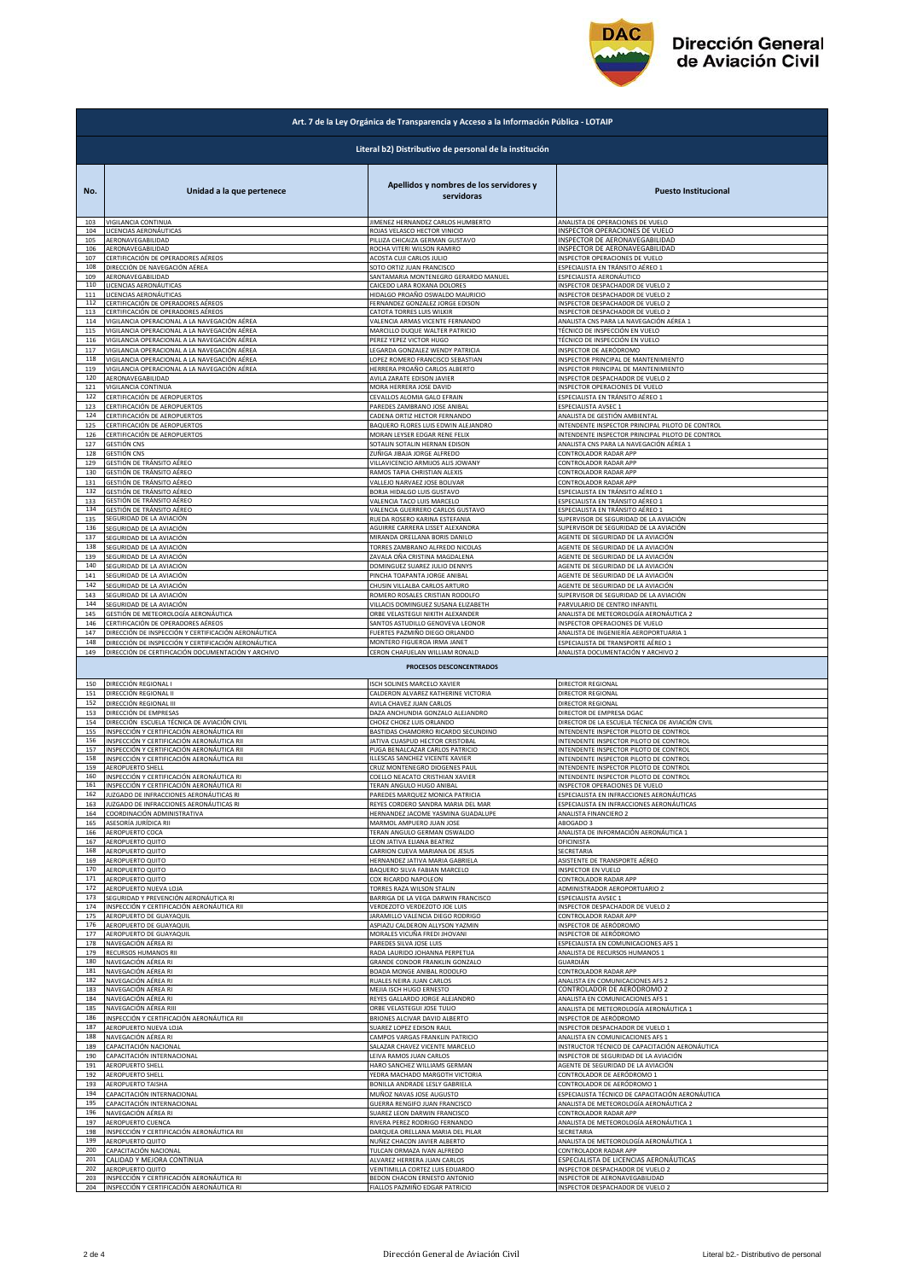

| Art. 7 de la Ley Orgánica de Transparencia y Acceso a la Información Pública - LOTAIP |                                                     |                                                            |                                                  |  |  |
|---------------------------------------------------------------------------------------|-----------------------------------------------------|------------------------------------------------------------|--------------------------------------------------|--|--|
| Literal b2) Distributivo de personal de la institución                                |                                                     |                                                            |                                                  |  |  |
| No.                                                                                   | Unidad a la que pertenece                           | Apellidos y nombres de los servidores y<br>servidoras      | <b>Puesto Institucional</b>                      |  |  |
| 103                                                                                   | VIGILANCIA CONTINUA                                 | JIMENEZ HERNANDEZ CARLOS HUMBERTO                          | ANALISTA DE OPERACIONES DE VUELO                 |  |  |
| 104                                                                                   | LICENCIAS AERONÁUTICAS                              | ROJAS VELASCO HECTOR VINICIO                               | INSPECTOR OPERACIONES DE VUELO                   |  |  |
| 105                                                                                   | AERONAVEGABILIDAD                                   | PILLIZA CHICAIZA GERMAN GUSTAVO                            | INSPECTOR DE AERONAVEGABILIDAD                   |  |  |
| 106                                                                                   | AERONAVEGABILIDAD                                   | ROCHA VITERI WILSON RAMIRO                                 | INSPECTOR DE AERONAVEGABILIDAD                   |  |  |
| 107                                                                                   | CERTIFICACIÓN DE OPERADORES AÉREOS                  | ACOSTA CUJI CARLOS JULIO                                   | INSPECTOR OPERACIONES DE VUELO                   |  |  |
| 108                                                                                   | DIRECCIÓN DE NAVEGACIÓN AÉREA                       | SOTO ORTIZ JUAN FRANCISCO                                  | ESPECIALISTA EN TRÁNSITO AÉREO 1                 |  |  |
| 109                                                                                   | AERONAVEGABILIDAD                                   | SANTAMARIA MONTENEGRO GERARDO MANUEL                       | ESPECIALISTA AERONÁUTICO                         |  |  |
| 110                                                                                   | LICENCIAS AERONÁUTICAS                              | CAICEDO LARA ROXANA DOLORES                                | INSPECTOR DESPACHADOR DE VUELO 2                 |  |  |
| 111                                                                                   | LICENCIAS AERONÁUTICAS                              | HIDALGO PROAÑO OSWALDO MAURICIO                            | INSPECTOR DESPACHADOR DE VUELO 2                 |  |  |
| 112                                                                                   | CERTIFICACIÓN DE OPERADORES AÉREOS                  | FERNANDEZ GONZALEZ JORGE EDISON                            | INSPECTOR DESPACHADOR DE VUELO 2                 |  |  |
| 113                                                                                   | CERTIFICACIÓN DE OPERADORES AÉREOS                  | CATOTA TORRES LUIS WILKIR                                  | INSPECTOR DESPACHADOR DE VUELO 2                 |  |  |
| 114                                                                                   | VIGILANCIA OPERACIONAL A LA NAVEGACIÓN AÉREA        | VALENCIA ARMAS VICENTE FERNANDO                            | ANALISTA CNS PARA LA NAVEGACIÓN AÉREA 1          |  |  |
| 115                                                                                   | VIGILANCIA OPERACIONAL A LA NAVEGACIÓN AÉREA        | MARCILLO DUQUE WALTER PATRICIO                             | TÉCNICO DE INSPECCIÓN EN VUELO                   |  |  |
| 116                                                                                   | VIGILANCIA OPERACIONAL A LA NAVEGACIÓN AÉREA        | PEREZ YEPEZ VICTOR HUGO                                    | TÉCNICO DE INSPECCIÓN EN VUELO                   |  |  |
| 117                                                                                   | VIGILANCIA OPERACIONAL A LA NAVEGACIÓN AÉREA        | LEGARDA GONZALEZ WENDY PATRICIA                            | INSPECTOR DE AERÓDROMO                           |  |  |
| 118                                                                                   | VIGILANCIA OPERACIONAL A LA NAVEGACIÓN AÉREA        | LOPEZ ROMERO FRANCISCO SEBASTIAN                           | INSPECTOR PRINCIPAL DE MANTENIMIENTO             |  |  |
| 119                                                                                   | VIGILANCIA OPERACIONAL A LA NAVEGACIÓN AÉREA        | HERRERA PROAÑO CARLOS ALBERTO                              | INSPECTOR PRINCIPAL DE MANTENIMIENTO             |  |  |
| 120                                                                                   | AERONAVEGABILIDAD                                   | AVILA ZARATE EDISON JAVIER                                 | INSPECTOR DESPACHADOR DE VUELO 2                 |  |  |
| 121                                                                                   | VIGILANCIA CONTINUA                                 | MORA HERRERA JOSE DAVID                                    | INSPECTOR OPERACIONES DE VUELO                   |  |  |
| 122                                                                                   | CERTIFICACIÓN DE AEROPUERTOS                        | CEVALLOS ALOMIA GALO EFRAIN                                | ESPECIALISTA EN TRÁNSITO AÉREO 1                 |  |  |
| 123                                                                                   | CERTIFICACIÓN DE AEROPUERTOS                        | PAREDES ZAMBRANO JOSE ANIBAL                               | ESPECIALISTA AVSEC 1                             |  |  |
| 124                                                                                   | CERTIFICACIÓN DE AEROPUERTOS                        | CADENA ORTIZ HECTOR FERNANDO                               | ANALISTA DE GESTIÓN AMBIENTAL                    |  |  |
| 125                                                                                   | CERTIFICACIÓN DE AEROPUERTOS                        | BAQUERO FLORES LUIS EDWIN ALEJANDRO                        | INTENDENTE INSPECTOR PRINCIPAL PILOTO DE CONTROL |  |  |
| 126                                                                                   | CERTIFICACIÓN DE AEROPUERTOS                        | MORAN LEYSER EDGAR RENE FELIX                              | INTENDENTE INSPECTOR PRINCIPAL PILOTO DE CONTROL |  |  |
| 127                                                                                   | <b>GESTIÓN CNS</b>                                  | SOTALIN SOTALIN HERNAN EDISON                              | ANALISTA CNS PARA LA NAVEGACIÓN AÉREA 1          |  |  |
| 128                                                                                   | GESTIÓN CNS                                         | ZUÑIGA JIBAJA JORGE ALFREDO                                | CONTROLADOR RADAR APP                            |  |  |
| 129                                                                                   | GESTIÓN DE TRÁNSITO AÉREO                           | VILLAVICENCIO ARMIJOS ALIS JOWANY                          | CONTROLADOR RADAR APP                            |  |  |
| 130                                                                                   | GESTIÓN DE TRÁNSITO AÉREO                           | RAMOS TAPIA CHRISTIAN ALEXIS                               | CONTROLADOR RADAR APP                            |  |  |
| 131                                                                                   | GESTIÓN DE TRÁNSITO AÉREO                           | VALLEJO NARVAEZ JOSE BOLIVAR                               | CONTROLADOR RADAR APP                            |  |  |
| 132                                                                                   | GESTIÓN DE TRÁNSITO AÉREO                           | BORJA HIDALGO LUIS GUSTAVO                                 | ESPECIALISTA EN TRÁNSITO AÉREO 1                 |  |  |
| 133                                                                                   | GESTIÓN DE TRANSITO AÉREO                           | VALENCIA TACO LUIS MARCELO                                 | ESPECIALISTA EN TRÁNSITO AÉREO 1                 |  |  |
| 134                                                                                   | GESTIÓN DE TRÁNSITO AÉREO                           | VALENCIA GUERRERO CARLOS GUSTAVO                           | ESPECIALISTA EN TRÁNSITO AÉREO 1                 |  |  |
| 135                                                                                   | SEGURIDAD DE LA AVIACIÓN                            | RUEDA ROSERO KARINA ESTEFANIA                              | SUPERVISOR DE SEGURIDAD DE LA AVIACIÓN           |  |  |
| 136                                                                                   | SEGURIDAD DE LA AVIACIÓN                            | AGUIRRE CARRERA LISSET ALEXANDRA                           | SUPERVISOR DE SEGURIDAD DE LA AVIACIÓN           |  |  |
| 137                                                                                   | SEGURIDAD DE LA AVIACIÓN                            | MIRANDA ORELLANA BORIS DANILO                              | AGENTE DE SEGURIDAD DE LA AVIACIÓN               |  |  |
| 138                                                                                   | SEGURIDAD DE LA AVIACIÓN                            | TORRES ZAMBRANO ALFREDO NICOLAS                            | AGENTE DE SEGURIDAD DE LA AVIACIÓN               |  |  |
| 139                                                                                   | SEGURIDAD DE LA AVIACIÓN                            | ZAVALA OÑA CRISTINA MAGDALENA                              | AGENTE DE SEGURIDAD DE LA AVIACIÓN               |  |  |
| 140                                                                                   | SEGURIDAD DE LA AVIACIÓN                            | DOMINGUEZ SUAREZ JULIO DENNYS                              | AGENTE DE SEGURIDAD DE LA AVIACIÓN               |  |  |
| 141                                                                                   | SEGURIDAD DE LA AVIACIÓN                            | PINCHA TOAPANTA JORGE ANIBAL                               | AGENTE DE SEGURIDAD DE LA AVIACIÓN               |  |  |
| 142                                                                                   | SEGURIDAD DE LA AVIACIÓN                            | CHUSIN VILLALBA CARLOS ARTURO                              | AGENTE DE SEGURIDAD DE LA AVIACIÓN               |  |  |
| 143                                                                                   | SEGURIDAD DE LA AVIACIÓN                            | ROMERO ROSALES CRISTIAN RODOLFO                            | SUPERVISOR DE SEGURIDAD DE LA AVIACIÓN           |  |  |
| 144                                                                                   | SEGURIDAD DE LA AVIACIÓN                            | VILLACIS DOMINGUEZ SUSANA ELIZABETH                        | PARVULARIO DE CENTRO INFANTIL                    |  |  |
| 145                                                                                   | GESTIÓN DE METEOROLOGÍA AERONÁUTICA                 | ORBE VELASTEGUI NIKITH ALEXANDER                           | ANALISTA DE METEOROLOGÍA AERONÁUTICA 2           |  |  |
| 146                                                                                   | CERTIFICACIÓN DE OPERADORES AÉREOS                  | SANTOS ASTUDILLO GENOVEVA LEONOR                           | INSPECTOR OPERACIONES DE VUELO                   |  |  |
| 147                                                                                   | DIRECCIÓN DE INSPECCIÓN Y CERTIFICACIÓN AERONÁUTICA | FUERTES PAZMIÑO DIEGO ORLANDO                              | ANALISTA DE INGENIERÍA AEROPORTUARIA 1           |  |  |
| 148                                                                                   | DIRECCIÓN DE INSPECCIÓN Y CERTIFICACIÓN AERONÁUTICA | MONTERO FIGUEROA IRMA JANET                                | ESPECIALISTA DE TRANSPORTE AÉREO 1               |  |  |
| 149                                                                                   | DIRECCIÓN DE CERTIFICACIÓN DOCUMENTACIÓN Y ARCHIVO  | CERON CHAFUELAN WILLIAM RONALD<br>PROCESOS DESCONCENTRADOS | ANALISTA DOCUMENTACIÓN Y ARCHIVO 2               |  |  |
| 150                                                                                   | DIRECCIÓN REGIONAL I                                | ISCH SOLINES MARCELO XAVIER                                | DIRECTOR REGIONAL                                |  |  |
| 151                                                                                   | DIRECCIÓN REGIONAL II                               | CALDERON ALVAREZ KATHERINE VICTORIA                        | DIRECTOR REGIONAL                                |  |  |
| 152                                                                                   | DIRECCIÓN REGIONAL III                              | AVILA CHAVEZ JUAN CARLOS                                   | DIRECTOR REGIONAL                                |  |  |
| 153                                                                                   | DIRECCIÓN DE EMPRESAS                               | DAZA ANCHUNDIA GONZALO ALEJANDRO                           | DIRECTOR DE EMPRESA DGAC                         |  |  |
| 154                                                                                   | DIRECCIÓN ESCUELA TÉCNICA DE AVIACIÓN CIVIL         | CHOEZ CHOEZ LUIS ORLANDO                                   | DIRECTOR DE LA ESCUELA TÉCNICA DE AVIACIÓN CIVIL |  |  |
| 155                                                                                   | INSPECCIÓN Y CERTIFICACIÓN AERONÁUTICA RII          | BASTIDAS CHAMORRO RICARDO SECUNDINO                        | INTENDENTE INSPECTOR PILOTO DE CONTROL           |  |  |
| 156                                                                                   | INSPECCIÓN Y CERTIFICACIÓN AERONÁUTICA RII          | JATIVA CUASPUD HECTOR CRISTOBAL                            | INTENDENTE INSPECTOR PILOTO DE CONTROL           |  |  |
| 157                                                                                   | INSPECCIÓN Y CERTIFICACIÓN AERONÁUTICA RII          | PUGA BENALCAZAR CARLOS PATRICIO                            | INTENDENTE INSPECTOR PILOTO DE CONTROL           |  |  |
| 158                                                                                   | INSPECCIÓN Y CERTIFICACIÓN AERONÁUTICA RII          | ILLESCAS SANCHEZ VICENTE XAVIER                            | INTENDENTE INSPECTOR PILOTO DE CONTROL           |  |  |
| 159                                                                                   | AEROPUERTO SHELL                                    | CRUZ MONTENEGRO DIOGENES PAUL                              | INTENDENTE INSPECTOR PILOTO DE CONTROL           |  |  |
| 160                                                                                   | INSPECCIÓN Y CERTIFICACIÓN AERONÁUTICA RI           | COELLO NEACATO CRISTHIAN XAVIER                            | INTENDENTE INSPECTOR PILOTO DE CONTROL           |  |  |
| 161                                                                                   | INSPECCIÓN Y CERTIFICACIÓN AERONÁUTICA RI           | TERAN ANGULO HUGO ANIBAL                                   | INSPECTOR OPERACIONES DE VUELO                   |  |  |
| 162                                                                                   | JUZGADO DE INFRACCIONES AERONÁUTICAS RI             | PAREDES MARQUEZ MONICA PATRICIA                            | ESPECIALISTA EN INFRACCIONES AERONÁUTICAS        |  |  |
| 163                                                                                   | JUZGADO DE INFRACCIONES AERONÁUTICAS RI             | REYES CORDERO SANDRA MARIA DEL MAR                         | ESPECIALISTA EN INFRACCIONES AERONÁUTICAS        |  |  |
| 164                                                                                   | COORDINACIÓN ADMINISTRATIVA                         | HERNANDEZ JACOME YASMINA GUADALUPE                         | ANALISTA FINANCIERO 2                            |  |  |
| 165                                                                                   | ASESORÍA JURÍDICA RII                               | MARMOL AMPUERO JUAN JOSE                                   | ABOGADO 3                                        |  |  |
| 166                                                                                   | AEROPUERTO COCA                                     | TERAN ANGULO GERMAN OSWALDO                                | ANALISTA DE INFORMACIÓN AERONÁUTICA 1            |  |  |
| 167                                                                                   | AEROPUERTO QUITO                                    | LEON JATIVA ELIANA BEATRIZ                                 | OFICINISTA                                       |  |  |
| 168                                                                                   | AEROPUERTO QUITO                                    | CARRION CUEVA MARIANA DE JESUS                             | SECRETARIA                                       |  |  |
| 169                                                                                   | AEROPUERTO QUITO                                    | HERNANDEZ JATIVA MARIA GABRIELA                            | ASISTENTE DE TRANSPORTE AÉREO                    |  |  |
| 170                                                                                   | AEROPUERTO QUITO                                    | BAQUERO SILVA FABIAN MARCELO                               | INSPECTOR EN VUELO                               |  |  |
| 171                                                                                   | AEROPUERTO QUITO                                    | COX RICARDO NAPOLEON                                       | CONTROLADOR RADAR APP                            |  |  |
| 172                                                                                   | AEROPUERTO NUEVA LOJA                               | <b>TORRES RAZA WILSON STALIN</b>                           | ADMINISTRADOR AEROPORTUARIO 2                    |  |  |
| 173                                                                                   | SEGURIDAD Y PREVENCIÓN AERONÁUTICA RI               | BARRIGA DE LA VEGA DARWIN FRANCISCO                        | ESPECIALISTA AVSEC 1                             |  |  |
| 174                                                                                   | INSPECCIÓN Y CERTIFICACIÓN AERONÁUTICA RII          | VERDEZOTO VERDEZOTO JOE LUIS                               | INSPECTOR DESPACHADOR DE VUELO 2                 |  |  |
| 175                                                                                   | <b>AEROPUERTO DE GUAYAQUIL</b>                      | <b>JARAMILLO VALENCIA DIEGO RODRIGO</b>                    | CONTROLADOR RADAR APP                            |  |  |
| 176                                                                                   | AEROPUERTO DE GUAYAQUIL                             | ASPIAZU CALDERON ALLYSON YAZMIN                            | INSPECTOR DE AERÓDROMO                           |  |  |
| 177                                                                                   | AEROPUERTO DE GUAYAQUIL                             | MORALES VICUÑA FREDI JHOVANI                               | INSPECTOR DE AERÓDROMO                           |  |  |
| 178                                                                                   | NAVEGACIÓN AÉREA RI                                 | PAREDES SILVA JOSE LUIS                                    | ESPECIALISTA EN COMUNICACIONES AFS 1             |  |  |
| 179                                                                                   | RECURSOS HUMANOS RII                                | RADA LAURIDO JOHANNA PERPETUA                              | ANALISTA DE RECURSOS HUMANOS                     |  |  |
| 180                                                                                   | NAVEGACIÓN AÉREA RI                                 | GRANDE CONDOR FRANKLIN GONZALO                             | GUARDIÁN                                         |  |  |
| 181                                                                                   | NAVEGACIÓN AÉREA RI                                 | BOADA MONGE ANIBAL RODOLFO                                 | CONTROLADOR RADAR APP                            |  |  |
| 182                                                                                   | NAVEGACIÓN AÉREA RI                                 | RUALES NEIRA JUAN CARLOS                                   | ANALISTA EN COMUNICACIONES AFS 2                 |  |  |
| 183                                                                                   | NAVEGACIÓN AÉREA RI                                 | MEJIA ISCH HUGO ERNESTO                                    | CONTROLADOR DE AERÓDROMO 2                       |  |  |
| 184                                                                                   | NAVEGACIÓN AÉREA RI                                 | REYES GALLARDO JORGE ALEJANDRO                             | ANALISTA EN COMUNICACIONES AFS 1                 |  |  |
| 185                                                                                   | NAVEGACIÓN AÉREA RIII                               | ORBE VELASTEGUI JOSE TULIO                                 | ANALISTA DE METEOROLOGÍA AERONÁUTICA 1           |  |  |
| 186                                                                                   | INSPECCIÓN Y CERTIFICACIÓN AERONÁUTICA RII          | BRIONES ALCIVAR DAVID ALBERTO                              | INSPECTOR DE AERÓDROMO                           |  |  |
| 187                                                                                   | AEROPUERTO NUEVA LOJA                               | <b>SUAREZ LOPEZ EDISON RAUL</b>                            | INSPECTOR DESPACHADOR DE VUELO 1                 |  |  |
| 188                                                                                   | NAVEGACIÓN AÉREA RI                                 | CAMPOS VARGAS FRANKLIN PATRICIO                            | ANALISTA EN COMUNICACIONES AFS 1                 |  |  |
| 189                                                                                   | CAPACITACIÓN NACIONAL                               | SALAZAR CHAVEZ VICENTE MARCELO                             | INSTRUCTOR TÉCNICO DE CAPACITACIÓN AERONÁUTICA   |  |  |
| 190                                                                                   | CAPACITACIÓN INTERNACIONAL                          | LEIVA RAMOS JUAN CARLOS                                    | INSPECTOR DE SEGURIDAD DE LA AVIACIÓN            |  |  |
| 191                                                                                   | AEROPUERTO SHELL                                    | HARO SANCHEZ WILLIAMS GERMAN                               | AGENTE DE SEGURIDAD DE LA AVIACIÓN               |  |  |
| 192                                                                                   | <b>AEROPUERTO SHELL</b>                             | YEDRA MACHADO MARGOTH VICTORIA                             | CONTROLADOR DE AERÓDROMO 1                       |  |  |
| 193                                                                                   | <b>AEROPUERTO TAISHA</b>                            | BONILLA ANDRADE LESLY GABRIELA                             | CONTROLADOR DE AERÓDROMO 1                       |  |  |
| 194                                                                                   | CAPACITACIÓN INTERNACIONAL                          | MUÑOZ NAVAS JOSE AUGUSTO                                   | ESPECIALISTA TÉCNICO DE CAPACITACIÓN AERONÁUTICA |  |  |
| 195                                                                                   | CAPACITACIÓN INTERNACIONAL                          | GUERRA RENGIFO JUAN FRANCISCO                              | ANALISTA DE METEOROLOGÍA AERONÁUTICA 2           |  |  |
| 196                                                                                   | NAVEGACIÓN AÉREA RI                                 | SUAREZ LEON DARWIN FRANCISCO                               | CONTROLADOR RADAR APP                            |  |  |
| 197                                                                                   | AEROPUERTO CUENCA                                   | RIVERA PEREZ RODRIGO FERNANDO                              | ANALISTA DE METEOROLOGÍA AERONÁUTICA 1           |  |  |
| 198                                                                                   | INSPECCIÓN Y CERTIFICACIÓN AERONÁUTICA RII          | DARQUEA ORELLANA MARIA DEL PILAR                           | SECRETARIA                                       |  |  |
| 199                                                                                   | AEROPUERTO QUITO                                    | NUÑEZ CHACON JAVIER ALBERTO                                | ANALISTA DE METEOROLOGÍA AERONÁUTICA 1           |  |  |
| 200                                                                                   | CAPACITACIÓN NACIONAL                               | TULCAN ORMAZA IVAN ALFREDO                                 | CONTROLADOR RADAR APP                            |  |  |
| 201                                                                                   | CALIDAD Y MEJORA CONTINUA                           | ALVAREZ HERRERA JUAN CARLOS                                | ESPECIALISTA DE LICENCIAS AERONÁUTICAS           |  |  |
| 202                                                                                   | AEROPUERTO QUITO                                    | VEINTIMILLA CORTEZ LUIS EDUARDO                            | INSPECTOR DESPACHADOR DE VUELO 2                 |  |  |
| 203                                                                                   | INSPECCIÓN Y CERTIFICACIÓN AERONÁUTICA RI           | BEDON CHACON ERNESTO ANTONIO                               | INSPECTOR DE AERONAVEGABILIDAD                   |  |  |
|                                                                                       | 204 INSPECCIÓN Y CERTIFICACIÓN AERONÁUTICA RI       | FIALLOS PAZMIÑO EDGAR PATRICIO                             | INSPECTOR DESPACHADOR DE VUELO 2                 |  |  |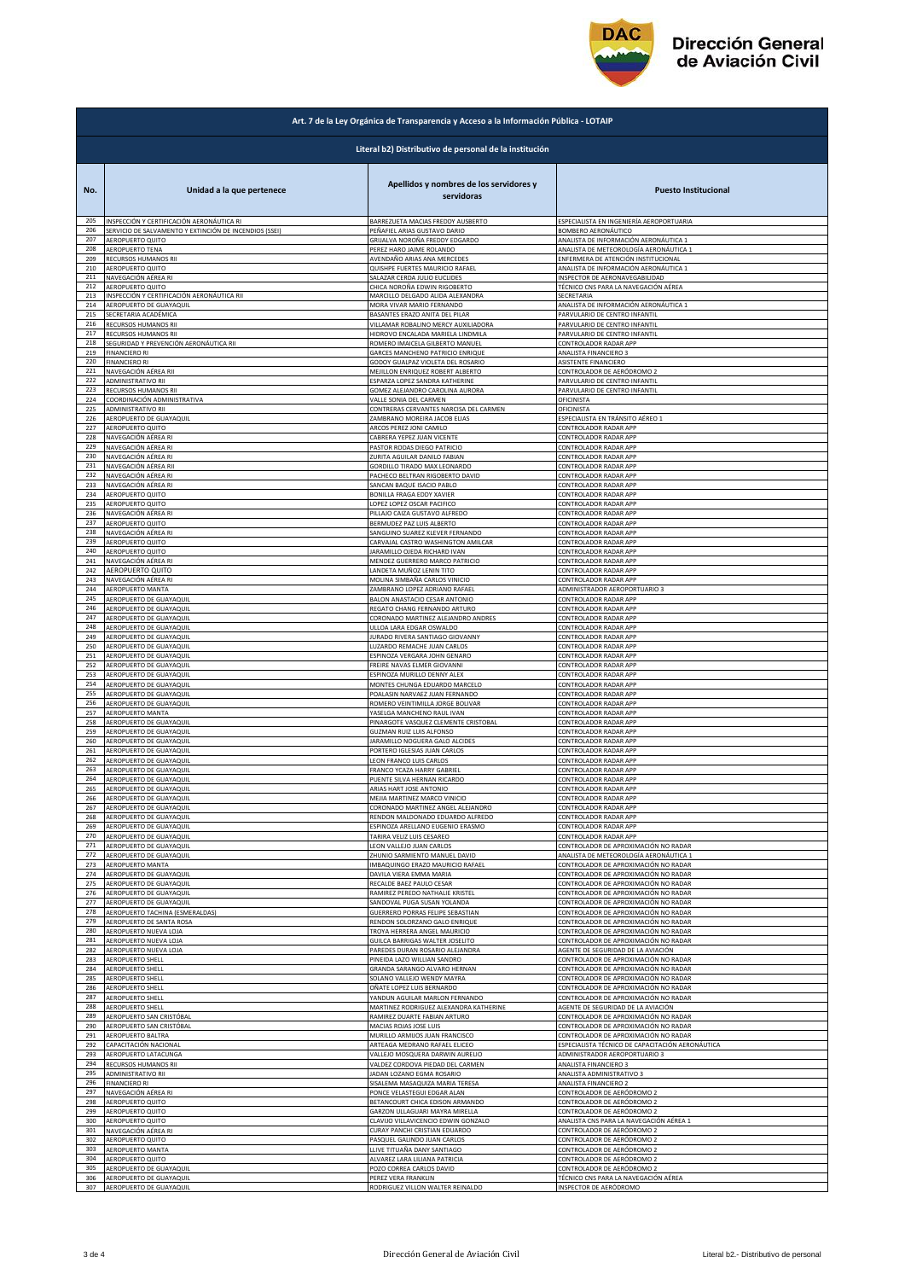

|                                                        | Art. 7 de la Ley Orgánica de Transparencia y Acceso a la Información Pública - LOTAIP |                                                                                            |                                                                         |  |  |
|--------------------------------------------------------|---------------------------------------------------------------------------------------|--------------------------------------------------------------------------------------------|-------------------------------------------------------------------------|--|--|
| Literal b2) Distributivo de personal de la institución |                                                                                       |                                                                                            |                                                                         |  |  |
| No.<br>205                                             | Unidad a la que pertenece<br>INSPECCIÓN Y CERTIFICACIÓN AERONÁUTICA RI                | Apellidos y nombres de los servidores y<br>servidoras<br>BARREZUETA MACIAS FREDDY AUSBERTO | <b>Puesto Institucional</b><br>ESPECIALISTA EN INGENIERÍA AEROPORTUARIA |  |  |
| 206                                                    | SERVICIO DE SALVAMENTO Y EXTINCIÓN DE INCENDIOS (SSEI)                                | PEÑAFIEL ARIAS GUSTAVO DARIO                                                               | BOMBERO AERONÁUTICO                                                     |  |  |
| 207                                                    | AEROPUERTO QUITO                                                                      | GRIJALVA NOROÑA FREDDY EDGARDO                                                             | ANALISTA DE INFORMACIÓN AERONÁUTICA 1                                   |  |  |
| 208                                                    | <b>AEROPUERTO TENA</b>                                                                | PEREZ HARO JAIME ROLANDO                                                                   | ANALISTA DE METEOROLOGÍA AERONÁUTICA 1                                  |  |  |
| 209                                                    | RECURSOS HUMANOS RII                                                                  | AVENDAÑO ARIAS ANA MERCEDES                                                                | ENFERMERA DE ATENCIÓN INSTITUCIONAL                                     |  |  |
| 210                                                    | AEROPUERTO QUITO                                                                      | QUISHPE FUERTES MAURICIO RAFAEL                                                            | ANALISTA DE INFORMACIÓN AERONÁUTICA 1                                   |  |  |
| 211                                                    | NAVEGACIÓN AÉREA RI                                                                   | SALAZAR CERDA JULIO EUCLIDES                                                               | INSPECTOR DE AERONAVEGABILIDAD                                          |  |  |
| 212                                                    | AEROPUERTO QUITO                                                                      | CHICA NOROÑA EDWIN RIGOBERTO                                                               | TÉCNICO CNS PARA LA NAVEGACIÓN AÉREA                                    |  |  |
| 213                                                    | INSPECCIÓN Y CERTIFICACIÓN AERONÁUTICA RII                                            | MARCILLO DELGADO ALIDA ALEXANDRA                                                           | SECRETARIA                                                              |  |  |
| 214                                                    | AEROPUERTO DE GUAYAQUIL                                                               | MORA VIVAR MARIO FERNANDO                                                                  | ANALISTA DE INFORMACIÓN AERONÁUTICA 1                                   |  |  |
| 215                                                    | SECRETARIA ACADÉMICA                                                                  | BASANTES ERAZO ANITA DEL PILAR                                                             | PARVULARIO DE CENTRO INFANTIL                                           |  |  |
| 216                                                    | RECURSOS HUMANOS RII                                                                  | VILLAMAR ROBALINO MERCY AUXILIADORA                                                        | PARVULARIO DE CENTRO INFANTIL                                           |  |  |
| 217                                                    | RECURSOS HUMANOS RII                                                                  | HIDROVO ENCALADA MARIELA LINDMILA                                                          | PARVULARIO DE CENTRO INFANTIL                                           |  |  |
| 218                                                    | SEGURIDAD Y PREVENCIÓN AERONÁUTICA RII                                                | ROMERO IMAICELA GILBERTO MANUEL                                                            | CONTROLADOR RADAR APP                                                   |  |  |
| 219                                                    | <b>FINANCIERO RI</b>                                                                  | GARCES MANCHENO PATRICIO ENRIQUE                                                           | ANALISTA FINANCIERO 3                                                   |  |  |
| 220                                                    | <b>FINANCIERO RI</b>                                                                  | GODOY GUALPAZ VIOLETA DEL ROSARIO                                                          | ASISTENTE FINANCIERO                                                    |  |  |
| 221                                                    | NAVEGACIÓN AÉREA RII                                                                  | MEJILLON ENRIQUEZ ROBERT ALBERTO                                                           | CONTROLADOR DE AERÓDROMO 2                                              |  |  |
| 222                                                    | ADMINISTRATIVO RII                                                                    | ESPARZA LOPEZ SANDRA KATHERINE                                                             | PARVULARIO DE CENTRO INFANTIL                                           |  |  |
| 223                                                    | RECURSOS HUMANOS RII                                                                  | GOMEZ ALEJANDRO CAROLINA AURORA                                                            | PARVULARIO DE CENTRO INFANTIL                                           |  |  |
| 224                                                    | COORDINACIÓN ADMINISTRATIVA                                                           | VALLE SONIA DEL CARMEN                                                                     | OFICINISTA                                                              |  |  |
| 225                                                    | ADMINISTRATIVO RII                                                                    | CONTRERAS CERVANTES NARCISA DEL CARMEN                                                     | OFICINISTA                                                              |  |  |
| 226                                                    | AEROPUERTO DE GUAYAQUIL                                                               | ZAMBRANO MOREIRA JACOB ELIAS                                                               | ESPECIALISTA EN TRÁNSITO AÉREO 1                                        |  |  |
| 227                                                    | AEROPUERTO QUITO                                                                      | ARCOS PEREZ JONI CAMILO                                                                    | CONTROLADOR RADAR APP                                                   |  |  |
| 228                                                    | NAVEGACIÓN AÉREA RI                                                                   | CABRERA YEPEZ JUAN VICENTE                                                                 | CONTROLADOR RADAR APP                                                   |  |  |
| 229                                                    | NAVEGACIÓN AÉREA RI                                                                   | PASTOR RODAS DIEGO PATRICIO                                                                | CONTROLADOR RADAR APP                                                   |  |  |
| 230                                                    | NAVEGACIÓN AÉREA RI                                                                   | ZURITA AGUILAR DANILO FABIAN                                                               | CONTROLADOR RADAR APP                                                   |  |  |
| 231                                                    | NAVEGACIÓN AÉREA RII                                                                  | GORDILLO TIRADO MAX LEONARDO                                                               | CONTROLADOR RADAR APP                                                   |  |  |
| 232                                                    | NAVEGACIÓN AÉREA RI                                                                   | PACHECO BELTRAN RIGOBERTO DAVID                                                            | CONTROLADOR RADAR APP                                                   |  |  |
| 233                                                    | NAVEGACIÓN AÉREA RI                                                                   | SANCAN BAQUE ISACIO PABLO                                                                  | CONTROLADOR RADAR APP                                                   |  |  |
| 234                                                    | AEROPUERTO QUITO                                                                      | BONILLA FRAGA EDDY XAVIER                                                                  | CONTROLADOR RADAR APP                                                   |  |  |
| 235                                                    | AEROPUERTO QUITO                                                                      | LOPEZ LOPEZ OSCAR PACIFICO                                                                 | CONTROLADOR RADAR APP                                                   |  |  |
| 236                                                    | NAVEGACIÓN AÉREA RI                                                                   | PILLAJO CAIZA GUSTAVO ALFREDO                                                              | CONTROLADOR RADAR APP                                                   |  |  |
| 237                                                    | AEROPUERTO QUITO                                                                      | BERMUDEZ PAZ LUIS ALBERTO                                                                  | CONTROLADOR RADAR APP                                                   |  |  |
| 238                                                    | NAVEGACIÓN AÉREA RI                                                                   | SANGUINO SUAREZ KLEVER FERNANDO                                                            | CONTROLADOR RADAR APP                                                   |  |  |
| 239                                                    | AEROPUERTO QUITO                                                                      | CARVAJAL CASTRO WASHINGTON AMILCAR                                                         | CONTROLADOR RADAR APP                                                   |  |  |
| 240                                                    | AEROPUERTO QUITO                                                                      | JARAMILLO OJEDA RICHARD IVAN                                                               | CONTROLADOR RADAR APP                                                   |  |  |
| 241                                                    | NAVEGACIÓN AÉREA RI                                                                   | MENDEZ GUERRERO MARCO PATRICIO                                                             | CONTROLADOR RADAR APP                                                   |  |  |
| 242                                                    | AEROPUERTO QUITO                                                                      | LANDETA MUÑOZ LENIN TITO                                                                   | CONTROLADOR RADAR APP                                                   |  |  |
| 243                                                    | NAVEGACIÓN AÉREA RI                                                                   | MOLINA SIMBAÑA CARLOS VINICIO                                                              | CONTROLADOR RADAR APP                                                   |  |  |
| 244                                                    | AEROPUERTO MANTA                                                                      | ZAMBRANO LOPEZ ADRIANO RAFAEL                                                              | ADMINISTRADOR AEROPORTUARIO 3                                           |  |  |
| 245                                                    | AEROPUERTO DE GUAYAQUIL                                                               | BALON ANASTACIO CESAR ANTONIO                                                              | CONTROLADOR RADAR APP                                                   |  |  |
| 246                                                    | AEROPUERTO DE GUAYAQUIL                                                               | REGATO CHANG FERNANDO ARTURO                                                               | CONTROLADOR RADAR APP                                                   |  |  |
| 247                                                    | AEROPUERTO DE GUAYAQUIL                                                               | CORONADO MARTINEZ ALEJANDRO ANDRES                                                         | CONTROLADOR RADAR APP                                                   |  |  |
| 248                                                    | AEROPUERTO DE GUAYAQUIL                                                               | ULLOA LARA EDGAR OSWALDO                                                                   | CONTROLADOR RADAR APP                                                   |  |  |
| 249                                                    | AEROPUERTO DE GUAYAQUIL                                                               | JURADO RIVERA SANTIAGO GIOVANNY                                                            | CONTROLADOR RADAR APP                                                   |  |  |
| 250                                                    | AEROPUERTO DE GUAYAQUIL                                                               | LUZARDO REMACHE JUAN CARLOS                                                                | CONTROLADOR RADAR APP                                                   |  |  |
| 251                                                    | AEROPUERTO DE GUAYAQUIL                                                               | ESPINOZA VERGARA JOHN GENARO                                                               | CONTROLADOR RADAR APP                                                   |  |  |
| 252                                                    | AEROPUERTO DE GUAYAQUIL                                                               | FREIRE NAVAS ELMER GIOVANNI                                                                | CONTROLADOR RADAR APP                                                   |  |  |
| 253                                                    | AEROPUERTO DE GUAYAQUIL                                                               | ESPINOZA MURILLO DENNY ALEX                                                                | CONTROLADOR RADAR APP                                                   |  |  |
| 254                                                    | AEROPUERTO DE GUAYAQUIL                                                               | MONTES CHUNGA EDUARDO MARCELO                                                              | CONTROLADOR RADAR APP                                                   |  |  |
| 255                                                    | AEROPUERTO DE GUAYAQUIL                                                               | POALASIN NARVAEZ JUAN FERNANDO                                                             | CONTROLADOR RADAR APP                                                   |  |  |
| 256                                                    | AEROPUERTO DE GUAYAQUIL                                                               | ROMERO VEINTIMILLA JORGE BOLIVAR                                                           | CONTROLADOR RADAR APP                                                   |  |  |
| 257<br>258                                             | AEROPUERTO MANTA                                                                      | YASELGA MANCHENO RAUL IVAN<br>PINARGOTE VASQUEZ CLEMENTE CRISTOBAL                         | CONTROLADOR RADAR APP                                                   |  |  |
| 259                                                    | AEROPUERTO DE GUAYAQUIL<br>AEROPUERTO DE GUAYAQUIL                                    | GUZMAN RUIZ LUIS ALFONSO                                                                   | CONTROLADOR RADAR APP<br>CONTROLADOR RADAR APP                          |  |  |
| 260                                                    | AEROPUERTO DE GUAYAQUIL                                                               | JARAMILLO NOGUERA GALO ALCIDES                                                             | CONTROLADOR RADAR APP                                                   |  |  |
| 261                                                    | AEROPUERTO DE GUAYAQUIL                                                               | PORTERO IGLESIAS JUAN CARLOS                                                               | CONTROLADOR RADAR APP                                                   |  |  |
| 262                                                    | AEROPUERTO DE GUAYAQUIL                                                               | LEON FRANCO LUIS CARLOS                                                                    | CONTROLADOR RADAR APP                                                   |  |  |
| 263                                                    | AEROPUERTO DE GUAYAQUIL                                                               | FRANCO YCAZA HARRY GABRIEL                                                                 | CONTROLADOR RADAR APP                                                   |  |  |
| 264                                                    | AEROPUERTO DE GUAYAQUIL                                                               | PUENTE SILVA HERNAN RICARDO                                                                | CONTROLADOR RADAR APP                                                   |  |  |
| 265                                                    | AEROPUERTO DE GUAYAQUIL                                                               | ARIAS HART JOSE ANTONIO                                                                    | CONTROLADOR RADAR APP                                                   |  |  |
| 266                                                    | AEROPUERTO DE GUAYAQUIL                                                               | MEJIA MARTINEZ MARCO VINICIO                                                               | CONTROLADOR RADAR APP                                                   |  |  |
| 267                                                    | AEROPUERTO DE GUAYAQUIL                                                               | CORONADO MARTINEZ ANGEL ALEJANDRO                                                          | CONTROLADOR RADAR APP                                                   |  |  |
| 268                                                    | AEROPUERTO DE GUAYAQUIL                                                               | RENDON MALDONADO EDUARDO ALFREDO                                                           | CONTROLADOR RADAR APP                                                   |  |  |
| 269                                                    | AEROPUERTO DE GUAYAQUIL                                                               | ESPINOZA ARELLANO EUGENIO ERASMO                                                           | CONTROLADOR RADAR APP                                                   |  |  |
| 270                                                    | AEROPUERTO DE GUAYAQUIL                                                               | TARIRA VELIZ LUIS CESAREO                                                                  | CONTROLADOR RADAR APP                                                   |  |  |
| 271                                                    | AEROPUERTO DE GUAYAQUIL                                                               | LEON VALLEJO JUAN CARLOS                                                                   | CONTROLADOR DE APROXIMACIÓN NO RADAR                                    |  |  |
| 272                                                    | AEROPUERTO DE GUAYAQUIL                                                               | ZHUNIO SARMIENTO MANUEL DAVID                                                              | ANALISTA DE METEOROLOGÍA AERONÁUTICA 1                                  |  |  |
| 273                                                    | AEROPUERTO MANTA                                                                      | IMBAQUINGO ERAZO MAURICIO RAFAEL                                                           | CONTROLADOR DE APROXIMACIÓN NO RADAR                                    |  |  |
| 274                                                    | AEROPUERTO DE GUAYAQUIL                                                               | DAVILA VIERA EMMA MARIA                                                                    | CONTROLADOR DE APROXIMACIÓN NO RADAR                                    |  |  |
| 275                                                    | AEROPUERTO DE GUAYAQUIL                                                               | RECALDE BAEZ PAULO CESAR                                                                   | CONTROLADOR DE APROXIMACIÓN NO RADAR                                    |  |  |
| 276                                                    | AEROPUERTO DE GUAYAQUIL                                                               | RAMIREZ PEREDO NATHALIE KRISTEL                                                            | CONTROLADOR DE APROXIMACIÓN NO RADAR                                    |  |  |
| 277                                                    | AEROPUERTO DE GUAYAQUIL                                                               | SANDOVAL PUGA SUSAN YOLANDA                                                                | CONTROLADOR DE APROXIMACIÓN NO RADAR                                    |  |  |
| 278                                                    | AEROPUERTO TACHINA (ESMERALDAS)                                                       | GUERRERO PORRAS FELIPE SEBASTIAN                                                           | CONTROLADOR DE APROXIMACIÓN NO RADAR                                    |  |  |
| 279                                                    | AEROPUERTO DE SANTA ROSA                                                              | RENDON SOLORZANO GALO ENRIQUE                                                              | CONTROLADOR DE APROXIMACIÓN NO RADAR                                    |  |  |
| 280                                                    | AEROPUERTO NUEVA LOJA                                                                 | TROYA HERRERA ANGEL MAURICIO                                                               | CONTROLADOR DE APROXIMACIÓN NO RADAR                                    |  |  |
| 281                                                    | AEROPUERTO NUEVA LOJA                                                                 | GUILCA BARRIGAS WALTER JOSELITO                                                            | CONTROLADOR DE APROXIMACIÓN NO RADAR                                    |  |  |
| 282                                                    | AEROPUERTO NUEVA LOJA                                                                 | PAREDES DURAN ROSARIO ALEJANDRA                                                            | AGENTE DE SEGURIDAD DE LA AVIACIÓN                                      |  |  |
| 283                                                    | AEROPUERTO SHELL                                                                      | PINEIDA LAZO WILLIAN SANDRO                                                                | CONTROLADOR DE APROXIMACIÓN NO RADAR                                    |  |  |
| 284                                                    | AEROPUERTO SHELL                                                                      | GRANDA SARANGO ALVARO HERNAN                                                               | CONTROLADOR DE APROXIMACIÓN NO RADAR                                    |  |  |
| 285                                                    | AEROPUERTO SHELL                                                                      | SOLANO VALLEJO WENDY MAYRA                                                                 | CONTROLADOR DE APROXIMACIÓN NO RADAR                                    |  |  |
| 286                                                    | AEROPUERTO SHELL                                                                      | OÑATE LOPEZ LUIS BERNARDO                                                                  | CONTROLADOR DE APROXIMACIÓN NO RADAR                                    |  |  |
| 287                                                    | AEROPUERTO SHELL                                                                      | YANDUN AGUILAR MARLON FERNANDO                                                             | CONTROLADOR DE APROXIMACIÓN NO RADAR                                    |  |  |
| 288                                                    | AEROPUERTO SHELL                                                                      | MARTINEZ RODRIGUEZ ALEXANDRA KATHERINE                                                     | AGENTE DE SEGURIDAD DE LA AVIACIÓN                                      |  |  |
| 289                                                    | AEROPUERTO SAN CRISTÓBAL                                                              | RAMIREZ DUARTE FABIAN ARTURO                                                               | CONTROLADOR DE APROXIMACIÓN NO RADAR                                    |  |  |
| 290                                                    | AEROPUERTO SAN CRISTÓBAL                                                              | MACIAS ROJAS JOSE LUIS                                                                     | CONTROLADOR DE APROXIMACIÓN NO RADAR                                    |  |  |
| 291<br>292                                             | AEROPUERTO BALTRA                                                                     | MURILLO ARMIJOS JUAN FRANCISCO                                                             | CONTROLADOR DE APROXIMACIÓN NO RADAR                                    |  |  |
| 293                                                    | CAPACITACIÓN NACIONAL                                                                 | ARTEAGA MEDRANO RAFAEL ELICEO                                                              | ESPECIALISTA TÉCNICO DE CAPACITACIÓN AERONÁUTICA                        |  |  |
|                                                        | AEROPUERTO LATACUNGA                                                                  | VALLEJO MOSQUERA DARWIN AURELIO                                                            | ADMINISTRADOR AEROPORTUARIO 3                                           |  |  |
| 294                                                    | RECURSOS HUMANOS RII                                                                  | VALDEZ CORDOVA PIEDAD DEL CARMEN                                                           | ANALISTA FINANCIERO 3                                                   |  |  |
| 295                                                    | ADMINISTRATIVO RII                                                                    | JADAN LOZANO EGMA ROSARIO                                                                  | ANALISTA ADMINISTRATIVO 3                                               |  |  |
| 296                                                    | <b>FINANCIERO RI</b>                                                                  | SISALEMA MASAQUIZA MARIA TERESA                                                            | ANALISTA FINANCIERO 2                                                   |  |  |
| 297                                                    | NAVEGACIÓN AÉREA RI                                                                   | PONCE VELASTEGUI EDGAR ALAN                                                                | CONTROLADOR DE AERÓDROMO 2                                              |  |  |
| 298                                                    | AEROPUERTO QUITO                                                                      | BETANCOURT CHICA EDISON ARMANDO                                                            | CONTROLADOR DE AERÓDROMO 2                                              |  |  |
| 299                                                    | AEROPUERTO QUITO                                                                      | GARZON ULLAGUARI MAYRA MIRELLA                                                             | CONTROLADOR DE AERÓDROMO 2                                              |  |  |
| 300                                                    | AEROPUERTO QUITO                                                                      | CLAVIJO VILLAVICENCIO EDWIN GONZALO                                                        | ANALISTA CNS PARA LA NAVEGACIÓN AÉREA 1                                 |  |  |
| 301                                                    | NAVEGACIÓN AÉREA RI                                                                   | CURAY PANCHI CRISTIAN EDUARDO                                                              | CONTROLADOR DE AERÓDROMO 2                                              |  |  |
| 302                                                    | AEROPUERTO QUITO                                                                      | PASQUEL GALINDO JUAN CARLOS                                                                | CONTROLADOR DE AERÓDROMO 2                                              |  |  |
| 303                                                    | AEROPUERTO MANTA                                                                      | LLIVE TITUAÑA DANY SANTIAGO                                                                | CONTROLADOR DE AERÓDROMO 2                                              |  |  |
| 304                                                    | AEROPUERTO QUITO                                                                      | ALVAREZ LARA LILIANA PATRICIA                                                              | CONTROLADOR DE AERÓDROMO 2                                              |  |  |
| 305                                                    | AEROPUERTO DE GUAYAQUIL                                                               | POZO CORREA CARLOS DAVID                                                                   | CONTROLADOR DE AERÓDROMO 2                                              |  |  |
| 306                                                    | AEROPUERTO DE GUAYAQUIL                                                               | PEREZ VERA FRANKLIN                                                                        | TÉCNICO CNS PARA LA NAVEGACIÓN AÉREA                                    |  |  |
| 307                                                    | AEROPUERTO DE GUAYAQUIL                                                               | RODRIGUEZ VILLON WALTER REINALDO                                                           | INSPECTOR DE AERÓDROMO                                                  |  |  |
|                                                        |                                                                                       |                                                                                            |                                                                         |  |  |